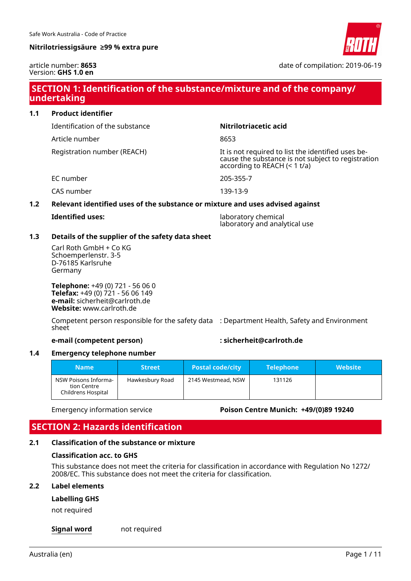

article number: **8653** Version: **GHS 1.0 en**

date of compilation: 2019-06-19

# **SECTION 1: Identification of the substance/mixture and of the company/ undertaking**

**1.1 Product identifier** Identification of the substance **Nitrilotriacetic acid** Article number 8653 Registration number (REACH) It is not required to list the identified uses because the substance is not subject to registration according to REACH  $(< 1 t/a)$ EC number 205-355-7 CAS number 139-13-9 **1.2 Relevant identified uses of the substance or mixture and uses advised against Identified uses:** laboratory chemical laboratory and analytical use **1.3 Details of the supplier of the safety data sheet**

Carl Roth GmbH + Co KG Schoemperlenstr. 3-5 D-76185 Karlsruhe Germany

**Telephone:** +49 (0) 721 - 56 06 0 **Telefax:** +49 (0) 721 - 56 06 149 **e-mail:** sicherheit@carlroth.de **Website:** www.carlroth.de

Competent person responsible for the safety data : Department Health, Safety and Environment sheet

**e-mail (competent person) : sicherheit@carlroth.de**

#### **1.4 Emergency telephone number**

| <b>Name</b>                                               | <b>Street</b>   | <b>Postal code/city</b> | <b>Telephone</b> | <b>Website</b> |
|-----------------------------------------------------------|-----------------|-------------------------|------------------|----------------|
| NSW Poisons Informa-<br>tion Centre<br>Childrens Hospital | Hawkesbury Road | 2145 Westmead, NSW      | 131126           |                |

Emergency information service **Poison Centre Munich: +49/(0)89 19240**

# **SECTION 2: Hazards identification**

#### **2.1 Classification of the substance or mixture**

#### **Classification acc. to GHS**

This substance does not meet the criteria for classification in accordance with Regulation No 1272/ 2008/EC. This substance does not meet the criteria for classification.

#### **2.2 Label elements**

#### **Labelling GHS**

not required

**Signal word** not required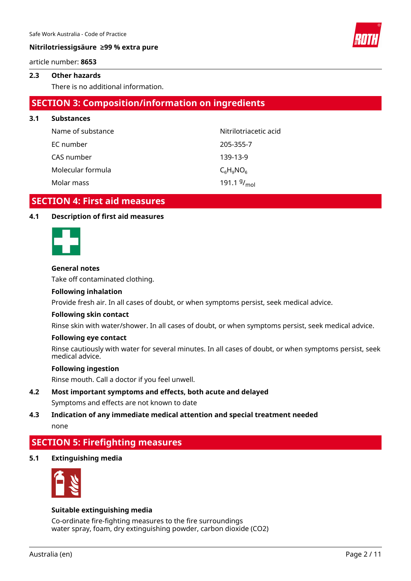article number: **8653**

#### **2.3 Other hazards**

There is no additional information.

# **SECTION 3: Composition/information on ingredients**

**3.1 Substances** Name of substance Nitrilotriacetic acid EC number 205-355-7 CAS number 139-13-9 Molecular formula  $C_{\alpha}H_{\alpha}NO_{\alpha}$ Molar mass 191.1  $9/_{mol}$ 

# **SECTION 4: First aid measures**

#### **4.1 Description of first aid measures**



#### **General notes**

Take off contaminated clothing.

#### **Following inhalation**

Provide fresh air. In all cases of doubt, or when symptoms persist, seek medical advice.

#### **Following skin contact**

Rinse skin with water/shower. In all cases of doubt, or when symptoms persist, seek medical advice.

#### **Following eye contact**

Rinse cautiously with water for several minutes. In all cases of doubt, or when symptoms persist, seek medical advice.

#### **Following ingestion**

Rinse mouth. Call a doctor if you feel unwell.

# **4.2 Most important symptoms and effects, both acute and delayed**

Symptoms and effects are not known to date

# **4.3 Indication of any immediate medical attention and special treatment needed**

none

# **SECTION 5: Firefighting measures**

**5.1 Extinguishing media**



#### **Suitable extinguishing media**

Co-ordinate fire-fighting measures to the fire surroundings water spray, foam, dry extinguishing powder, carbon dioxide (CO2)

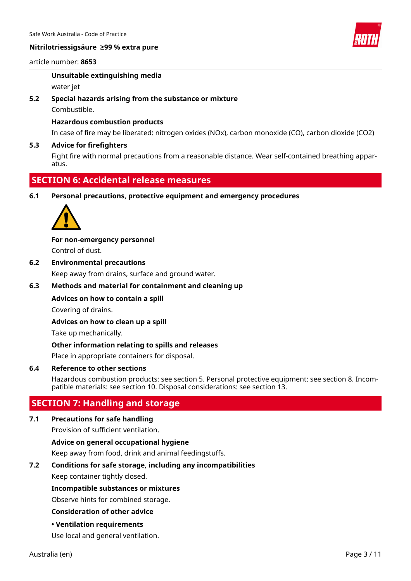

#### article number: **8653**

#### **Unsuitable extinguishing media**

water jet

#### **5.2 Special hazards arising from the substance or mixture**

Combustible.

#### **Hazardous combustion products**

In case of fire may be liberated: nitrogen oxides (NOx), carbon monoxide (CO), carbon dioxide (CO2)

#### **5.3 Advice for firefighters**

Fight fire with normal precautions from a reasonable distance. Wear self-contained breathing apparatus.

## **SECTION 6: Accidental release measures**

#### **6.1 Personal precautions, protective equipment and emergency procedures**



### **For non-emergency personnel**

Control of dust.

#### **6.2 Environmental precautions**

Keep away from drains, surface and ground water.

#### **6.3 Methods and material for containment and cleaning up**

### **Advices on how to contain a spill**

Covering of drains.

#### **Advices on how to clean up a spill**

Take up mechanically.

#### **Other information relating to spills and releases**

Place in appropriate containers for disposal.

#### **6.4 Reference to other sections**

Hazardous combustion products: see section 5. Personal protective equipment: see section 8. Incompatible materials: see section 10. Disposal considerations: see section 13.

# **SECTION 7: Handling and storage**

#### **7.1 Precautions for safe handling**

Provision of sufficient ventilation.

**Advice on general occupational hygiene**

Keep away from food, drink and animal feedingstuffs.

#### **7.2 Conditions for safe storage, including any incompatibilities**

Keep container tightly closed.

#### **Incompatible substances or mixtures**

Observe hints for combined storage.

#### **Consideration of other advice**

**• Ventilation requirements**

Use local and general ventilation.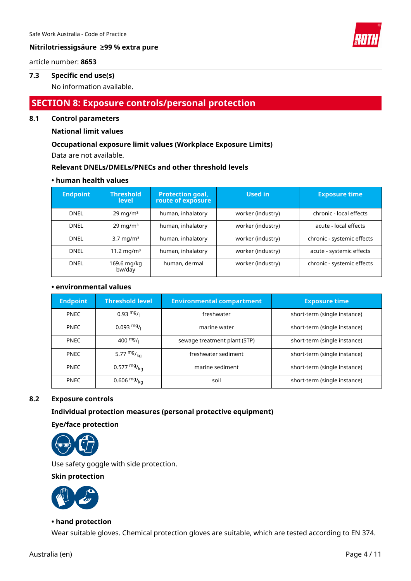

#### article number: **8653**

#### **7.3 Specific end use(s)**

No information available.

# **SECTION 8: Exposure controls/personal protection**

#### **8.1 Control parameters**

#### **National limit values**

#### **Occupational exposure limit values (Workplace Exposure Limits)**

Data are not available.

#### **Relevant DNELs/DMELs/PNECs and other threshold levels**

#### **• human health values**

| <b>Endpoint</b> | <b>Threshold</b><br><b>level</b> | <b>Protection goal,</b><br>route of exposure | Used in           | <b>Exposure time</b>       |
|-----------------|----------------------------------|----------------------------------------------|-------------------|----------------------------|
| <b>DNEL</b>     | $29 \text{ mg/m}^3$              | human, inhalatory                            | worker (industry) | chronic - local effects    |
| <b>DNEL</b>     | $29 \text{ mg/m}^3$              | human, inhalatory                            | worker (industry) | acute - local effects      |
| <b>DNEL</b>     | $3.7 \text{ mg/m}^3$             | human, inhalatory                            | worker (industry) | chronic - systemic effects |
| <b>DNFI</b>     | 11.2 mg/m <sup>3</sup>           | human, inhalatory                            | worker (industry) | acute - systemic effects   |
| <b>DNEL</b>     | 169.6 mg/kg<br>bw/day            | human, dermal                                | worker (industry) | chronic - systemic effects |

#### **• environmental values**

| <b>Endpoint</b> | <b>Threshold level</b> | <b>Environmental compartment</b> | <b>Exposure time</b>         |
|-----------------|------------------------|----------------------------------|------------------------------|
| <b>PNEC</b>     | $0.93 \text{ mg}$ /    | freshwater                       | short-term (single instance) |
| <b>PNEC</b>     | $0.093 \frac{mg}{l}$   | marine water                     | short-term (single instance) |
| <b>PNEC</b>     | 400 $mg/1$             | sewage treatment plant (STP)     | short-term (single instance) |
| <b>PNEC</b>     | 5.77 $mgr_{ka}$        | freshwater sediment              | short-term (single instance) |
| <b>PNEC</b>     | 0.577 $mg/kq$          | marine sediment                  | short-term (single instance) |
| <b>PNEC</b>     | 0.606 $mg/k_{0}$       | soil                             | short-term (single instance) |

#### **8.2 Exposure controls**

#### **Individual protection measures (personal protective equipment)**

**Eye/face protection**



Use safety goggle with side protection.

**Skin protection**



#### **• hand protection**

Wear suitable gloves. Chemical protection gloves are suitable, which are tested according to EN 374.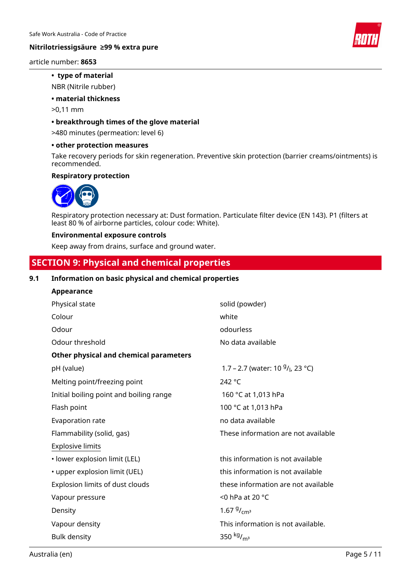

#### article number: **8653**

#### **• type of material**

NBR (Nitrile rubber)

#### **• material thickness**

>0,11 mm

#### **• breakthrough times of the glove material**

>480 minutes (permeation: level 6)

#### **• other protection measures**

Take recovery periods for skin regeneration. Preventive skin protection (barrier creams/ointments) is recommended.

#### **Respiratory protection**



Respiratory protection necessary at: Dust formation. Particulate filter device (EN 143). P1 (filters at least 80 % of airborne particles, colour code: White).

#### **Environmental exposure controls**

Keep away from drains, surface and ground water.

# **SECTION 9: Physical and chemical properties**

#### **9.1 Information on basic physical and chemical properties**

| <b>Appearance</b>                       |                                     |
|-----------------------------------------|-------------------------------------|
| Physical state                          | solid (powder)                      |
| Colour                                  | white                               |
| Odour                                   | odourless                           |
| Odour threshold                         | No data available                   |
| Other physical and chemical parameters  |                                     |
| pH (value)                              | 1.7 – 2.7 (water: 10 $9/$ , 23 °C)  |
| Melting point/freezing point            | 242 °C                              |
| Initial boiling point and boiling range | 160 °C at 1,013 hPa                 |
| Flash point                             | 100 °C at 1,013 hPa                 |
| Evaporation rate                        | no data available                   |
| Flammability (solid, gas)               | These information are not available |
| <b>Explosive limits</b>                 |                                     |
| · lower explosion limit (LEL)           | this information is not available   |
| • upper explosion limit (UEL)           | this information is not available   |
| Explosion limits of dust clouds         | these information are not available |
| Vapour pressure                         | <0 hPa at 20 °C                     |
| Density                                 | 1.67 $9/_{cm^3}$                    |
| Vapour density                          | This information is not available.  |
| <b>Bulk density</b>                     | 350 kg/ <sub>m<sup>3</sup></sub>    |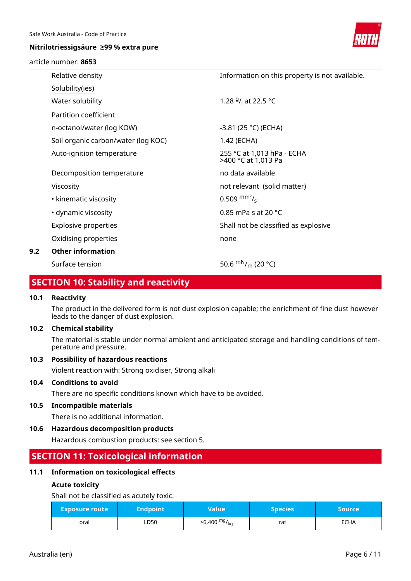#### article number: **8653**



|     | Relative density                    | Information on this property is not available.    |
|-----|-------------------------------------|---------------------------------------------------|
|     | Solubility(ies)                     |                                                   |
|     | Water solubility                    | 1.28 $9/1$ at 22.5 °C                             |
|     | Partition coefficient               |                                                   |
|     | n-octanol/water (log KOW)           | $-3.81$ (25 °C) (ECHA)                            |
|     | Soil organic carbon/water (log KOC) | 1.42 (ECHA)                                       |
|     | Auto-ignition temperature           | 255 °C at 1,013 hPa - ECHA<br>>400 °C at 1,013 Pa |
|     | Decomposition temperature           | no data available                                 |
|     | Viscosity                           | not relevant (solid matter)                       |
|     | • kinematic viscosity               | $0.509$ mm <sup>2</sup> / <sub>s</sub>            |
|     | • dynamic viscosity                 | 0.85 mPa s at 20 $^{\circ}$ C                     |
|     | Explosive properties                | Shall not be classified as explosive              |
|     | Oxidising properties                | none                                              |
| 9.2 | <b>Other information</b>            |                                                   |
|     | Surface tension                     | 50.6 $\rm{mN}_{/m}$ (20 °C)                       |

# **SECTION 10: Stability and reactivity**

#### **10.1 Reactivity**

The product in the delivered form is not dust explosion capable; the enrichment of fine dust however leads to the danger of dust explosion.

#### **10.2 Chemical stability**

The material is stable under normal ambient and anticipated storage and handling conditions of temperature and pressure.

#### **10.3 Possibility of hazardous reactions**

Violent reaction with: Strong oxidiser, Strong alkali

#### **10.4 Conditions to avoid**

There are no specific conditions known which have to be avoided.

#### **10.5 Incompatible materials**

There is no additional information.

#### **10.6 Hazardous decomposition products**

Hazardous combustion products: see section 5.

# **SECTION 11: Toxicological information**

#### **11.1 Information on toxicological effects**

#### **Acute toxicity**

Shall not be classified as acutely toxic.

| <b>Exposure route</b> | <b>Endpoint</b> | Value                      | <b>Species</b> | 'Source |
|-----------------------|-----------------|----------------------------|----------------|---------|
| oral                  | LD50            | $>6,400$ mg/ <sub>kg</sub> | rat            | ECHA    |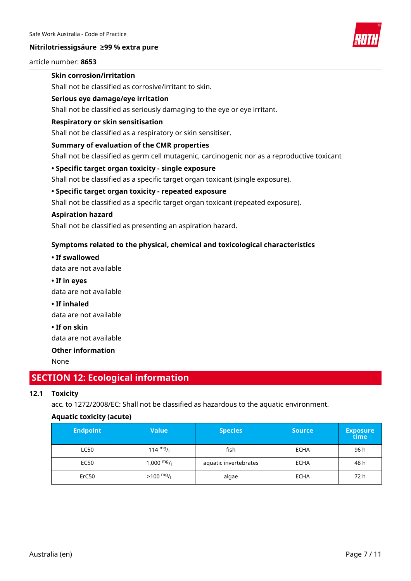

#### article number: **8653**

#### **Skin corrosion/irritation**

Shall not be classified as corrosive/irritant to skin.

#### **Serious eye damage/eye irritation**

Shall not be classified as seriously damaging to the eye or eye irritant.

#### **Respiratory or skin sensitisation**

Shall not be classified as a respiratory or skin sensitiser.

#### **Summary of evaluation of the CMR properties**

Shall not be classified as germ cell mutagenic, carcinogenic nor as a reproductive toxicant

#### **• Specific target organ toxicity - single exposure**

Shall not be classified as a specific target organ toxicant (single exposure).

#### **• Specific target organ toxicity - repeated exposure**

Shall not be classified as a specific target organ toxicant (repeated exposure).

#### **Aspiration hazard**

Shall not be classified as presenting an aspiration hazard.

#### **Symptoms related to the physical, chemical and toxicological characteristics**

**• If swallowed** data are not available

- **If in eyes** data are not available
- **If inhaled**

data are not available

**• If on skin**

data are not available

## **Other information**

None

# **SECTION 12: Ecological information**

#### **12.1 Toxicity**

acc. to 1272/2008/EC: Shall not be classified as hazardous to the aquatic environment.

#### **Aquatic toxicity (acute)**

| <b>Endpoint</b> | <b>Value</b>         | <b>Species</b>        | <b>Source</b> | <b>Exposure</b><br>time |
|-----------------|----------------------|-----------------------|---------------|-------------------------|
| <b>LC50</b>     | 114 $mg/$            | fish                  | <b>ECHA</b>   | 96 h                    |
| EC50            | $1,000 \frac{mg}{l}$ | aquatic invertebrates | <b>ECHA</b>   | 48 h                    |
| ErC50           | $>100 \frac{mg}{l}$  | algae                 | <b>ECHA</b>   | 72 h                    |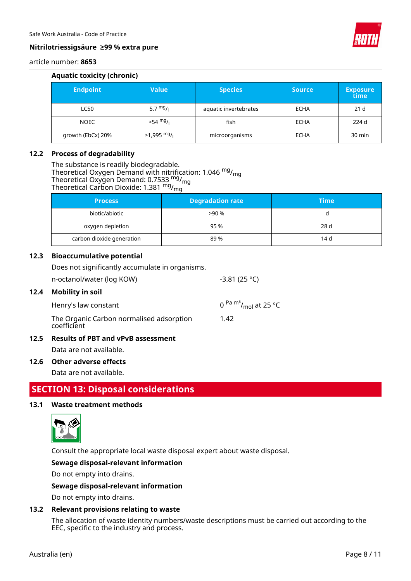

# article number: **8653**

# **Aquatic toxicity (chronic)**

| <b>Endpoint</b>   | Value              | <b>Species</b>        | <b>Source</b> | <b>Exposure</b><br>time |
|-------------------|--------------------|-----------------------|---------------|-------------------------|
| <b>LC50</b>       | 5.7 $mg/1$         | aquatic invertebrates | <b>ECHA</b>   | 21 d                    |
| <b>NOEC</b>       | $>54 \frac{mg}{l}$ | fish                  | <b>ECHA</b>   | 224 d                   |
| growth (EbCx) 20% | $>1,995$ mg/       | microorganisms        | <b>ECHA</b>   | $30 \text{ min}$        |

#### **12.2 Process of degradability**

The substance is readily biodegradable. Theoretical Oxygen Demand with nitrification: 1.046 <sup>mg</sup>/<sub>mg</sub> Theoretical Oxygen Demand: 0.7533 <sup>mg</sup>/<sub>mg</sub> Theoretical Carbon Dioxide: 1.381 mg/<sub>mg</sub>

| <b>Process</b>            | <b>Degradation rate</b> | <b>Time</b> |
|---------------------------|-------------------------|-------------|
| biotic/abiotic            | >90%                    |             |
| oxygen depletion          | 95 %                    | 28 d        |
| carbon dioxide generation | 89 %                    | 14 d        |

#### **12.3 Bioaccumulative potential**

Does not significantly accumulate in organisms.

| 12.5 | <b>Results of PBT and vPvB assessment</b>               |                                         |
|------|---------------------------------------------------------|-----------------------------------------|
|      | The Organic Carbon normalised adsorption<br>coefficient | 1.42                                    |
|      | Henry's law constant                                    | 0 $\rm{Pa} \, \rm{m}^3/\rm{m}$ at 25 °C |
| 12.4 | <b>Mobility in soil</b>                                 |                                         |
|      | n-octanol/water (log KOW)                               | $-3.81(25 °C)$                          |
|      |                                                         |                                         |

Data are not available.

### **12.6 Other adverse effects**

Data are not available.

# **SECTION 13: Disposal considerations**

#### **13.1 Waste treatment methods**



Consult the appropriate local waste disposal expert about waste disposal.

#### **Sewage disposal-relevant information**

Do not empty into drains.

#### **Sewage disposal-relevant information**

Do not empty into drains.

#### **13.2 Relevant provisions relating to waste**

The allocation of waste identity numbers/waste descriptions must be carried out according to the EEC, specific to the industry and process.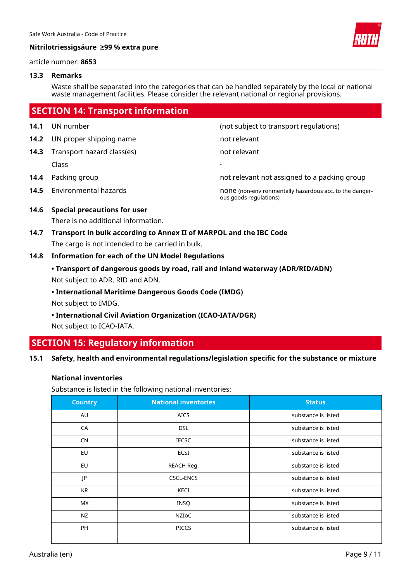

#### article number: **8653**

#### **13.3 Remarks**

Waste shall be separated into the categories that can be handled separately by the local or national waste management facilities. Please consider the relevant national or regional provisions.

|      | <b>SECTION 14: Transport information</b> |                                                                                   |
|------|------------------------------------------|-----------------------------------------------------------------------------------|
| 14.1 | UN number                                | (not subject to transport regulations)                                            |
| 14.2 | UN proper shipping name                  | not relevant                                                                      |
| 14.3 | Transport hazard class(es)               | not relevant                                                                      |
|      | Class                                    |                                                                                   |
| 14.4 | Packing group                            | not relevant not assigned to a packing group                                      |
| 14.5 | Environmental hazards                    | none (non-environmentally hazardous acc. to the danger-<br>ous goods regulations) |
|      | AAC Consial processions for user         |                                                                                   |

#### **14.6 Special precautions for user**

There is no additional information.

**14.7 Transport in bulk according to Annex II of MARPOL and the IBC Code** The cargo is not intended to be carried in bulk.

#### **14.8 Information for each of the UN Model Regulations**

- **Transport of dangerous goods by road, rail and inland waterway (ADR/RID/ADN)** Not subject to ADR, RID and ADN.
- **International Maritime Dangerous Goods Code (IMDG)**

Not subject to IMDG.

**• International Civil Aviation Organization (ICAO-IATA/DGR)**

Not subject to ICAO-IATA.

# **SECTION 15: Regulatory information**

#### **15.1 Safety, health and environmental regulations/legislation specific for the substance or mixture**

#### **National inventories**

Substance is listed in the following national inventories:

| <b>Country</b> | <b>National inventories</b> | <b>Status</b>       |
|----------------|-----------------------------|---------------------|
| AU             | <b>AICS</b>                 | substance is listed |
| CA             | <b>DSL</b>                  | substance is listed |
| <b>CN</b>      | <b>IECSC</b>                | substance is listed |
| EU             | ECSI                        | substance is listed |
| EU             | REACH Reg.                  | substance is listed |
| JP             | CSCL-ENCS                   | substance is listed |
| <b>KR</b>      | KECI                        | substance is listed |
| MX.            | INSQ                        | substance is listed |
| NZ             | NZIoC                       | substance is listed |
| PH             | <b>PICCS</b>                | substance is listed |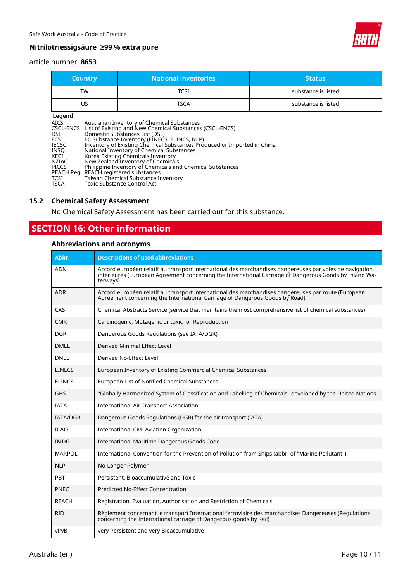

#### article number: **8653**

| <b>Country</b>                                                                                                             |                                                                                                                                                                                                                                                                                                                                                                                                                                                                                                                                                                                   | <b>National inventories</b> | <b>Status</b>       |
|----------------------------------------------------------------------------------------------------------------------------|-----------------------------------------------------------------------------------------------------------------------------------------------------------------------------------------------------------------------------------------------------------------------------------------------------------------------------------------------------------------------------------------------------------------------------------------------------------------------------------------------------------------------------------------------------------------------------------|-----------------------------|---------------------|
| TW                                                                                                                         |                                                                                                                                                                                                                                                                                                                                                                                                                                                                                                                                                                                   | <b>TCSI</b>                 | substance is listed |
| US.                                                                                                                        |                                                                                                                                                                                                                                                                                                                                                                                                                                                                                                                                                                                   | <b>TSCA</b>                 | substance is listed |
| Legend<br><b>AICS</b><br>CSCL-ENCS<br>DSL<br>ECSI<br><b>IECSC</b><br>INSQ<br>KECI<br>NZIoC<br><b>PICCS</b><br>TCSI<br>TSCA | Australian Inventory of Chemical Substances<br>List of Existing and New Chemical Substances (CSCL-ENCS)<br>Domestic Substances List (DSL)<br>EC Substance Inventory (EINECS, ELINCS, NLP)<br>Inventory of Existing Chemical Substances Produced or Imported in China<br>National Inventory of Chemical Substances<br>Korea Existing Chemicals Inventory<br>New Zealand Inventory of Chemicals<br>Philippine Inventory of Chemicals and Chemical Substances<br>REACH Reg. REACH registered substances<br>Taiwan Chemical Substance Inventory<br><b>Toxic Substance Control Act</b> |                             |                     |

### **15.2 Chemical Safety Assessment**

No Chemical Safety Assessment has been carried out for this substance.

# **SECTION 16: Other information**

# **Abbreviations and acronyms**

| Abbr.           | <b>Descriptions of used abbreviations</b>                                                                                                                                                                                     |  |
|-----------------|-------------------------------------------------------------------------------------------------------------------------------------------------------------------------------------------------------------------------------|--|
| ADN             | Accord européen relatif au transport international des marchandises dangereuses par voies de navigation<br>intérieures (European Agreement concerning the International Carriage of Dangerous Goods by Inland Wa-<br>terways) |  |
| <b>ADR</b>      | Accord européen relatif au transport international des marchandises dangereuses par route (European<br>Agreement concerning the International Carriage of Dangerous Goods by Road)                                            |  |
| CAS             | Chemical Abstracts Service (service that maintains the most comprehensive list of chemical substances)                                                                                                                        |  |
| <b>CMR</b>      | Carcinogenic, Mutagenic or toxic for Reproduction                                                                                                                                                                             |  |
| <b>DGR</b>      | Dangerous Goods Regulations (see IATA/DGR)                                                                                                                                                                                    |  |
| <b>DMEL</b>     | Derived Minimal Effect Level                                                                                                                                                                                                  |  |
| <b>DNEL</b>     | Derived No-Effect Level                                                                                                                                                                                                       |  |
| EINECS          | European Inventory of Existing Commercial Chemical Substances                                                                                                                                                                 |  |
| <b>ELINCS</b>   | European List of Notified Chemical Substances                                                                                                                                                                                 |  |
| GHS             | "Globally Harmonized System of Classification and Labelling of Chemicals" developed by the United Nations                                                                                                                     |  |
| <b>IATA</b>     | <b>International Air Transport Association</b>                                                                                                                                                                                |  |
| <b>IATA/DGR</b> | Dangerous Goods Regulations (DGR) for the air transport (IATA)                                                                                                                                                                |  |
| <b>ICAO</b>     | <b>International Civil Aviation Organization</b>                                                                                                                                                                              |  |
| <b>IMDG</b>     | International Maritime Dangerous Goods Code                                                                                                                                                                                   |  |
| MARPOL          | International Convention for the Prevention of Pollution from Ships (abbr. of "Marine Pollutant")                                                                                                                             |  |
| <b>NLP</b>      | No-Longer Polymer                                                                                                                                                                                                             |  |
| <b>PBT</b>      | Persistent, Bioaccumulative and Toxic                                                                                                                                                                                         |  |
| <b>PNEC</b>     | <b>Predicted No-Effect Concentration</b>                                                                                                                                                                                      |  |
| <b>REACH</b>    | Registration, Evaluation, Authorisation and Restriction of Chemicals                                                                                                                                                          |  |
| RID             | Règlement concernant le transport International ferroviaire des marchandises Dangereuses (Regulations concerning the International carriage of Dangerous goods by Rail)                                                       |  |
| vPvB            | very Persistent and very Bioaccumulative                                                                                                                                                                                      |  |